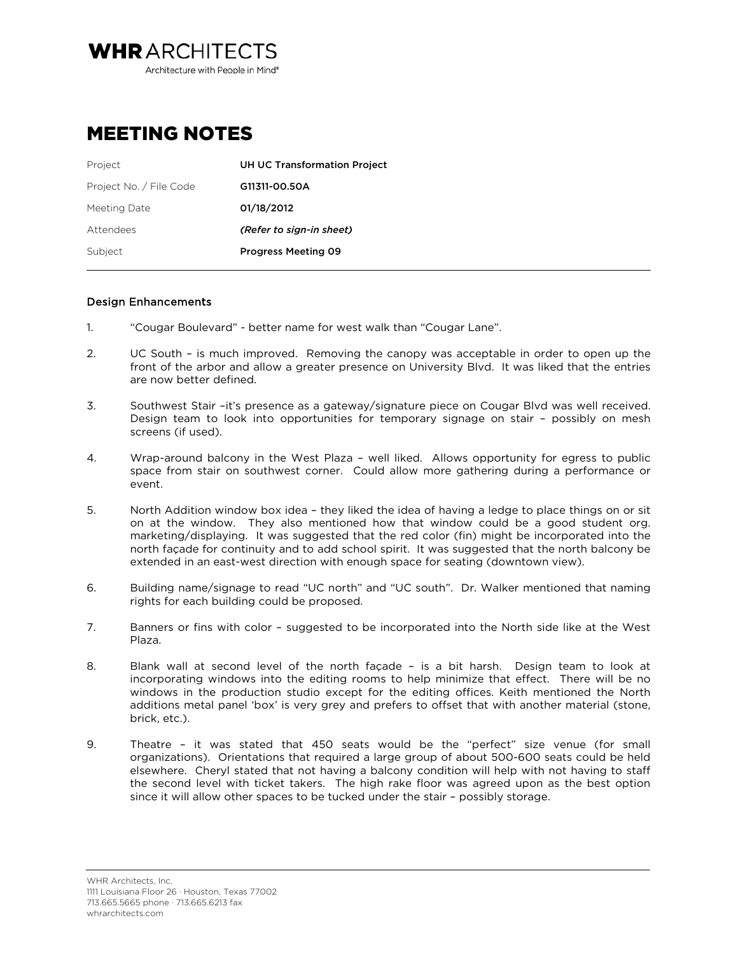**WHRARCHITECTS** Architecture with People in Mind<sup>®</sup>

## MEETING NOTES

| Project                 | UH UC Transformation Project |
|-------------------------|------------------------------|
| Project No. / File Code | G11311-00.50A                |
| Meeting Date            | 01/18/2012                   |
| Attendees               | (Refer to sign-in sheet)     |
| Subject                 | <b>Progress Meeting 09</b>   |

## Design Enhancements

- 1. "Cougar Boulevard" better name for west walk than "Cougar Lane".
- 2. UC South is much improved. Removing the canopy was acceptable in order to open up the front of the arbor and allow a greater presence on University Blvd. It was liked that the entries are now better defined.
- 3. Southwest Stair –it's presence as a gateway/signature piece on Cougar Blvd was well received. Design team to look into opportunities for temporary signage on stair – possibly on mesh screens (if used).
- 4. Wrap-around balcony in the West Plaza well liked. Allows opportunity for egress to public space from stair on southwest corner. Could allow more gathering during a performance or event.
- 5. North Addition window box idea they liked the idea of having a ledge to place things on or sit on at the window. They also mentioned how that window could be a good student org. marketing/displaying. It was suggested that the red color (fin) might be incorporated into the north façade for continuity and to add school spirit. It was suggested that the north balcony be extended in an east-west direction with enough space for seating (downtown view).
- 6. Building name/signage to read "UC north" and "UC south". Dr. Walker mentioned that naming rights for each building could be proposed.
- 7. Banners or fins with color suggested to be incorporated into the North side like at the West Plaza.
- 8. Blank wall at second level of the north façade is a bit harsh. Design team to look at incorporating windows into the editing rooms to help minimize that effect. There will be no windows in the production studio except for the editing offices. Keith mentioned the North additions metal panel 'box' is very grey and prefers to offset that with another material (stone, brick, etc.).
- 9. Theatre it was stated that 450 seats would be the "perfect" size venue (for small organizations). Orientations that required a large group of about 500-600 seats could be held elsewhere. Cheryl stated that not having a balcony condition will help with not having to staff the second level with ticket takers. The high rake floor was agreed upon as the best option since it will allow other spaces to be tucked under the stair – possibly storage.